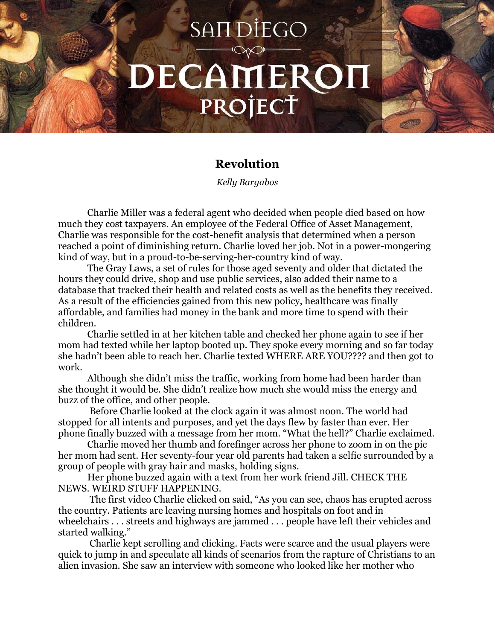## SAIT DIEGO DECAMEROI PROJECT

## **Revolution**

*Kelly Bargabos*

Charlie Miller was a federal agent who decided when people died based on how much they cost taxpayers. An employee of the Federal Office of Asset Management, Charlie was responsible for the cost-benefit analysis that determined when a person reached a point of diminishing return. Charlie loved her job. Not in a power-mongering kind of way, but in a proud-to-be-serving-her-country kind of way.

The Gray Laws, a set of rules for those aged seventy and older that dictated the hours they could drive, shop and use public services, also added their name to a database that tracked their health and related costs as well as the benefits they received. As a result of the efficiencies gained from this new policy, healthcare was finally affordable, and families had money in the bank and more time to spend with their children.

Charlie settled in at her kitchen table and checked her phone again to see if her mom had texted while her laptop booted up. They spoke every morning and so far today she hadn't been able to reach her. Charlie texted WHERE ARE YOU???? and then got to work.

Although she didn't miss the traffic, working from home had been harder than she thought it would be. She didn't realize how much she would miss the energy and buzz of the office, and other people.

Before Charlie looked at the clock again it was almost noon. The world had stopped for all intents and purposes, and yet the days flew by faster than ever. Her phone finally buzzed with a message from her mom. "What the hell?" Charlie exclaimed.

Charlie moved her thumb and forefinger across her phone to zoom in on the pic her mom had sent. Her seventy-four year old parents had taken a selfie surrounded by a group of people with gray hair and masks, holding signs.

Her phone buzzed again with a text from her work friend Jill. CHECK THE NEWS. WEIRD STUFF HAPPENING.

The first video Charlie clicked on said, "As you can see, chaos has erupted across the country. Patients are leaving nursing homes and hospitals on foot and in wheelchairs . . . streets and highways are jammed . . . people have left their vehicles and started walking."

Charlie kept scrolling and clicking. Facts were scarce and the usual players were quick to jump in and speculate all kinds of scenarios from the rapture of Christians to an alien invasion. She saw an interview with someone who looked like her mother who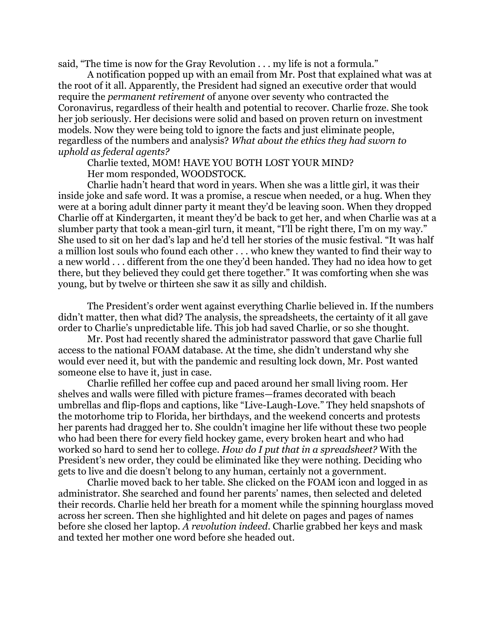said, "The time is now for the Gray Revolution . . . my life is not a formula."

A notification popped up with an email from Mr. Post that explained what was at the root of it all. Apparently, the President had signed an executive order that would require the *permanent retirement* of anyone over seventy who contracted the Coronavirus, regardless of their health and potential to recover. Charlie froze. She took her job seriously. Her decisions were solid and based on proven return on investment models. Now they were being told to ignore the facts and just eliminate people, regardless of the numbers and analysis? *What about the ethics they had sworn to uphold as federal agents?*

Charlie texted, MOM! HAVE YOU BOTH LOST YOUR MIND?

Her mom responded, WOODSTOCK.

Charlie hadn't heard that word in years. When she was a little girl, it was their inside joke and safe word. It was a promise, a rescue when needed, or a hug. When they were at a boring adult dinner party it meant they'd be leaving soon. When they dropped Charlie off at Kindergarten, it meant they'd be back to get her, and when Charlie was at a slumber party that took a mean-girl turn, it meant, "I'll be right there, I'm on my way." She used to sit on her dad's lap and he'd tell her stories of the music festival. "It was half a million lost souls who found each other . . . who knew they wanted to find their way to a new world . . . different from the one they'd been handed. They had no idea how to get there, but they believed they could get there together." It was comforting when she was young, but by twelve or thirteen she saw it as silly and childish.

The President's order went against everything Charlie believed in. If the numbers didn't matter, then what did? The analysis, the spreadsheets, the certainty of it all gave order to Charlie's unpredictable life. This job had saved Charlie, or so she thought.

Mr. Post had recently shared the administrator password that gave Charlie full access to the national FOAM database. At the time, she didn't understand why she would ever need it, but with the pandemic and resulting lock down, Mr. Post wanted someone else to have it, just in case.

Charlie refilled her coffee cup and paced around her small living room. Her shelves and walls were filled with picture frames—frames decorated with beach umbrellas and flip-flops and captions, like "Live-Laugh-Love." They held snapshots of the motorhome trip to Florida, her birthdays, and the weekend concerts and protests her parents had dragged her to. She couldn't imagine her life without these two people who had been there for every field hockey game, every broken heart and who had worked so hard to send her to college. *How do I put that in a spreadsheet?* With the President's new order, they could be eliminated like they were nothing. Deciding who gets to live and die doesn't belong to any human, certainly not a government.

Charlie moved back to her table. She clicked on the FOAM icon and logged in as administrator. She searched and found her parents' names, then selected and deleted their records. Charlie held her breath for a moment while the spinning hourglass moved across her screen. Then she highlighted and hit delete on pages and pages of names before she closed her laptop. *A revolution indeed*. Charlie grabbed her keys and mask and texted her mother one word before she headed out.